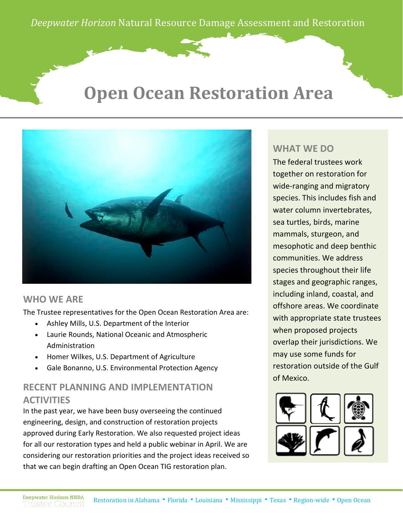# **Open Ocean Restoration Area**



#### **WHO WE ARE**

The Trustee representatives for the Open Ocean Restoration Area are:

- Ashley Mills, U.S. Department of the Interior
- Laurie Rounds, National Oceanic and Atmospheric Administration
- Homer Wilkes, U.S. Department of Agriculture
- Gale Bonanno, U.S. Environmental Protection Agency

### **RECENT PLANNING AND IMPLEMENTATION ACTIVITIES**

In the past year, we have been busy overseeing the continued engineering, design, and construction of restoration projects approved during Early Restoration. We also requested project ideas for all our restoration types and held a public webinar in April. We are considering our restoration priorities and the project ideas received so that we can begin drafting an Open Ocean TIG restoration plan.

#### **WHAT WE DO**

The federal trustees work together on restoration for wide-ranging and migratory species. This includes fish and water column invertebrates, sea turtles, birds, marine mammals, sturgeon, and mesophotic and deep benthic communities. We address species throughout their life stages and geographic ranges, including inland, coastal, and offshore areas. We coordinate with appropriate state trustees when proposed projects overlap their jurisdictions. We may use some funds for restoration outside of the Gulf of Mexico.